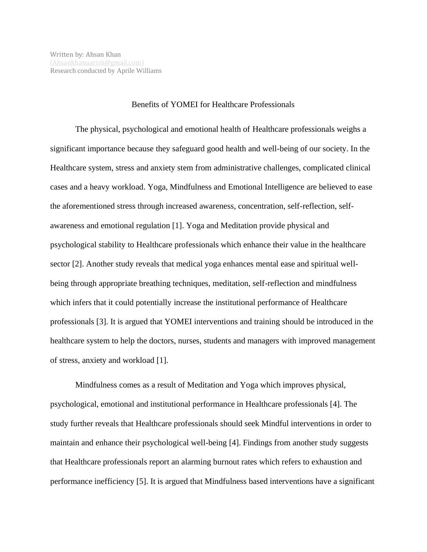## Benefits of YOMEI for Healthcare Professionals

The physical, psychological and emotional health of Healthcare professionals weighs a significant importance because they safeguard good health and well-being of our society. In the Healthcare system, stress and anxiety stem from administrative challenges, complicated clinical cases and a heavy workload. Yoga, Mindfulness and Emotional Intelligence are believed to ease the aforementioned stress through increased awareness, concentration, self-reflection, selfawareness and emotional regulation [1]. Yoga and Meditation provide physical and psychological stability to Healthcare professionals which enhance their value in the healthcare sector [2]. Another study reveals that medical yoga enhances mental ease and spiritual wellbeing through appropriate breathing techniques, meditation, self-reflection and mindfulness which infers that it could potentially increase the institutional performance of Healthcare professionals [3]. It is argued that YOMEI interventions and training should be introduced in the healthcare system to help the doctors, nurses, students and managers with improved management of stress, anxiety and workload [1].

Mindfulness comes as a result of Meditation and Yoga which improves physical, psychological, emotional and institutional performance in Healthcare professionals [4]. The study further reveals that Healthcare professionals should seek Mindful interventions in order to maintain and enhance their psychological well-being [4]. Findings from another study suggests that Healthcare professionals report an alarming burnout rates which refers to exhaustion and performance inefficiency [5]. It is argued that Mindfulness based interventions have a significant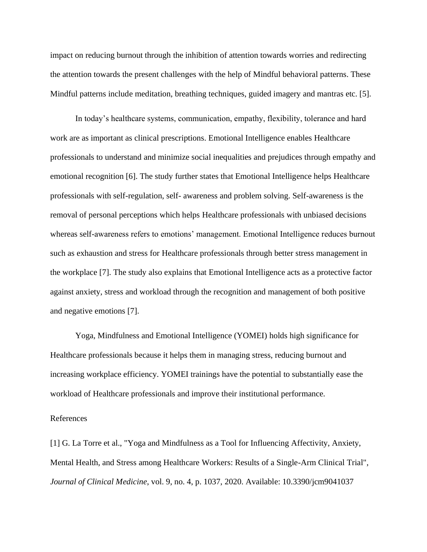impact on reducing burnout through the inhibition of attention towards worries and redirecting the attention towards the present challenges with the help of Mindful behavioral patterns. These Mindful patterns include meditation, breathing techniques, guided imagery and mantras etc. [5].

In today's healthcare systems, communication, empathy, flexibility, tolerance and hard work are as important as clinical prescriptions. Emotional Intelligence enables Healthcare professionals to understand and minimize social inequalities and prejudices through empathy and emotional recognition [6]. The study further states that Emotional Intelligence helps Healthcare professionals with self-regulation, self- awareness and problem solving. Self-awareness is the removal of personal perceptions which helps Healthcare professionals with unbiased decisions whereas self-awareness refers to emotions' management. Emotional Intelligence reduces burnout such as exhaustion and stress for Healthcare professionals through better stress management in the workplace [7]. The study also explains that Emotional Intelligence acts as a protective factor against anxiety, stress and workload through the recognition and management of both positive and negative emotions [7].

Yoga, Mindfulness and Emotional Intelligence (YOMEI) holds high significance for Healthcare professionals because it helps them in managing stress, reducing burnout and increasing workplace efficiency. YOMEI trainings have the potential to substantially ease the workload of Healthcare professionals and improve their institutional performance.

## References

[1] G. La Torre et al., "Yoga and Mindfulness as a Tool for Influencing Affectivity, Anxiety, Mental Health, and Stress among Healthcare Workers: Results of a Single-Arm Clinical Trial", *Journal of Clinical Medicine*, vol. 9, no. 4, p. 1037, 2020. Available: 10.3390/jcm9041037